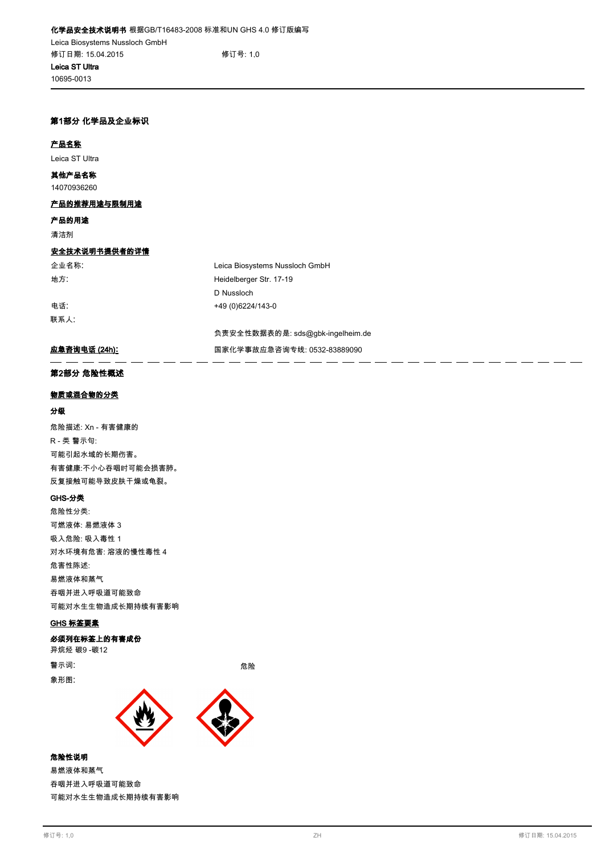# **第1部分 化学品及企业标识**

#### **产品名称**

**10695-0013**

**Leica ST Ultra**

**14070936260 其他产品名称**

### **产品的推荐用途与限制用途**

**产品的用途**

**清洁剂**

# **安全技术说明书提供者的详情**

**企业名称**: **Leica Biosystems Nussloch GmbH**

**联系人**:

**地方**: **Heidelberger Str. 17-19 D Nussloch 电话**: **+49 (0)6224/143-0**

**负责安全性数据表的是: sds@gbk-ingelheim.de**

. . - -

# **应急咨询电话 (24h): 国家化学事故应急咨询专线: 0532-83889090**

#### **第2部分 危险性概述**

# **物质或混合物的分类**

# **分级**

**危险描述: Xn - 有害健康的 R - 类 警示句: 可能引起水域的长期伤害。 有害健康:不小心吞咽时可能会损害肺。 反复接触可能导致皮肤干燥或龟裂。**

#### **GHS-分类**

**危险性分类: 可燃液体: 易燃液体 3 吸入危险: 吸入毒性 1 对水环境有危害: 溶液的慢性毒性 4 危害性陈述: 易燃液体和蒸气 吞咽并进入呼吸道可能致命 可能对水生生物造成长期持续有害影响**

#### **GHS 标签要素**

**必须列在标签上的有害成份**

**异烷烃 碳9 -碳12 警示词**: **危险**

**象形图**:



### **危险性说明**

**易燃液体和蒸气 吞咽并进入呼吸道可能致命 可能对水生生物造成长期持续有害影响**

- - - - - - - - - -

 $\overline{\phantom{a}}$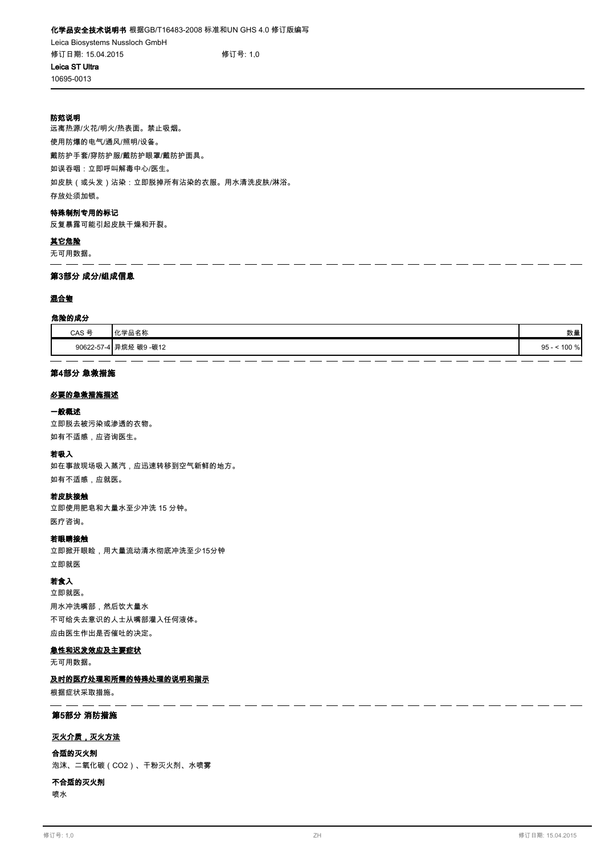**防范说明**

**10695-0013**

**远离热源/火花/明火/热表面。禁止吸烟。 使用防爆的电气/通风/照明/设备。 戴防护手套/穿防护服/戴防护眼罩/戴防护面具。 如误吞咽:立即呼叫解毒中心/医生。 如皮肤(或头发)沾染:立即脱掉所有沾染的衣服。用水清洗皮肤/淋浴。 存放处须加锁。**

# **特殊制剂专用的标记**

**反复暴露可能引起皮肤干燥和开裂。**

**其它危险**

**无可用数据。**

#### **第3部分 成分/组成信息**

#### **混合物**

#### **危险的成分**

| CAS 号      | 力升<br>$I\cup 24 \square$<br>加力你                       | 数量              |
|------------|-------------------------------------------------------|-----------------|
| 90622-57-4 | ) -碳12<br>已始权<br><b>THA</b><br>,恢9<br><b>・I 廾 灰 灴</b> | 100 %<br>$95 -$ |

#### **第4部分 急救措施**

#### **必要的急救措施描述**

#### **一般概述**

**立即脱去被污染或渗透的衣物。 如有不适感,应咨询医生。**

# **若吸入**

**如在事故现场吸入蒸汽,应迅速转移到空气新鲜的地方。 如有不适感,应就医。**

#### **若皮肤接触**

**立即使用肥皂和大量水至少冲洗 15 分钟。 医疗咨询。**

#### **若眼睛接触**

**立即掀开眼睑,用大量流动清水彻底冲洗至少15分钟 立即就医**

# **若食入**

**立即就医。 用水冲洗嘴部,然后饮大量水 不可给失去意识的人士从嘴部灌入任何液体。 应由医生作出是否催吐的决定。**

#### **急性和迟发效应及主要症状**

**无可用数据。**

# **及时的医疗处理和所需的特殊处理的说明和指示**

**根据症状采取措施。**

# **第5部分 消防措施**

#### **灭火介质,灭火方法**

**合适的灭火剂**

**泡沫、二氧化碳(CO2)、干粉灭火剂、水喷雾**

# **喷水 不合适的灭火剂**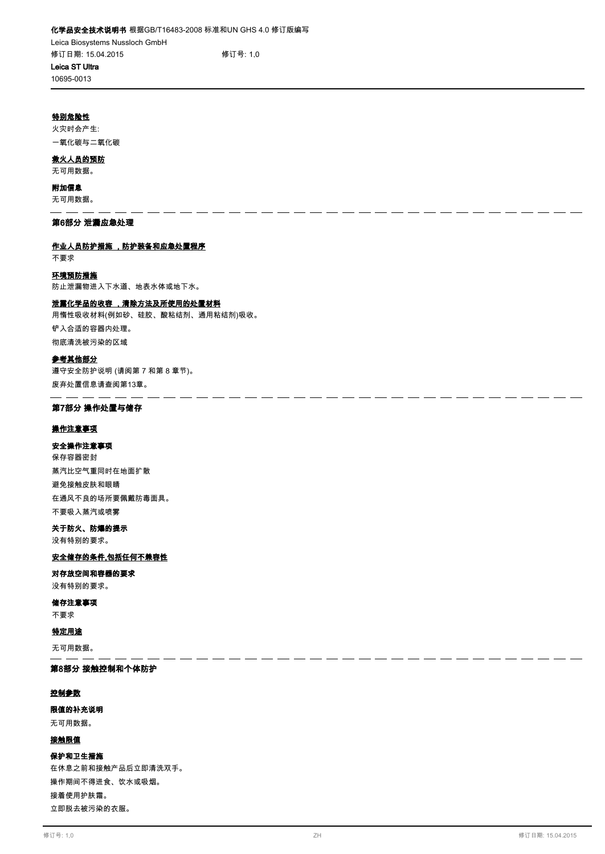**10695-0013**

# **特别危险性**

**火灾时会产生: 一氧化碳与二氧化碳**

# **救火人员的预防**

**无可用数据。**

#### **附加信息**

**无可用数据。**  $\overline{\phantom{a}}$ 

# **第6部分 泄漏应急处理**

# **作业人员防护措施 ,防护装备和应急处置程序**

**不要求**

# **环境预防措施**

**防止泄漏物进入下水道、地表水体或地下水。**

# **泄露化学品的收容 ,清除方法及所使用的处置材料**

**用惰性吸收材料(例如砂、硅胶、酸粘结剂、通用粘结剂)吸收。 铲入合适的容器内处理。 彻底清洗被污染的区域**

### **参考其他部分**

**遵守安全防护说明 (请阅第 7 和第 8 章节)。 废弃处置信息请查阅第13章。**

#### $\equiv$   $\equiv$   $\equiv$   $\equiv$ **第7部分 操作处置与储存**

# **操作注意事项**

# **安全操作注意事项**

**保存容器密封 蒸汽比空气重同时在地面扩散 避免接触皮肤和眼睛 在通风不良的场所要佩戴防毒面具。 不要吸入蒸汽或喷雾**

# **关于防火、防爆的提示**

**没有特别的要求。**

# **安全储存的条件,包括任何不兼容性**

#### **对存放空间和容器的要求**

**没有特别的要求。**

**不要求 储存注意事项**

# **特定用途**

**无可用数据。**

# **第8部分 接触控制和个体防护**

## **控制参数**

# **限值的补充说明**

**无可用数据。**

# **接触限值**

# **保护和卫生措施**

**在休息之前和接触产品后立即清洗双手。 操作期间不得进食、饮水或吸烟。 接着使用护肤霜。 立即脱去被污染的衣服。**

н. ц.  $\overline{a}$ 

\_\_\_\_\_\_\_\_\_\_\_\_\_\_\_\_\_\_\_\_\_\_\_\_\_\_\_\_\_\_

 $\overline{\phantom{a}}$  $\overline{a}$  \_\_\_\_\_\_

 $-$ 

- - $-$ - - - - -

 $-$ 

 $-$ 

- -

 $\overline{a}$  $\sim$  $\overline{a}$  $\overline{\phantom{a}}$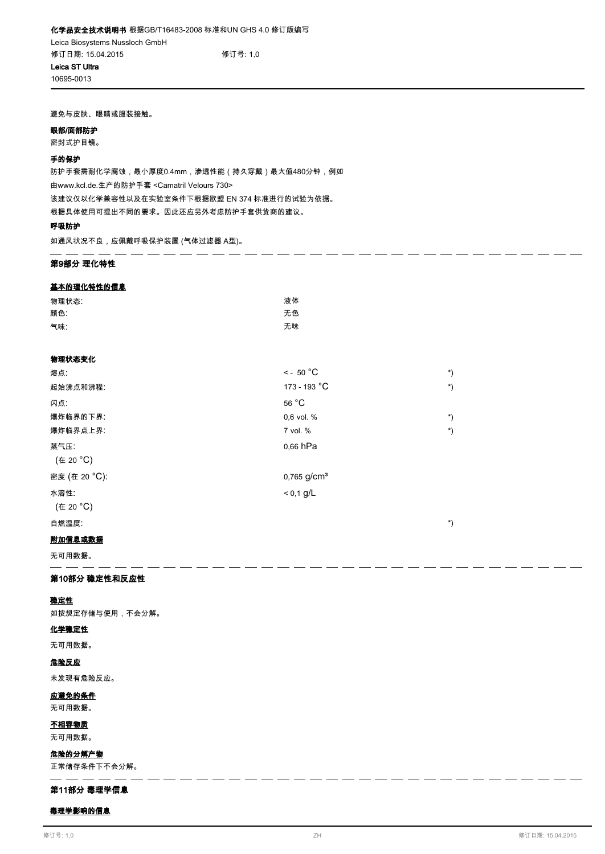**避免与皮肤、眼睛或服装接触。**

#### **眼部/面部防护**

**10695-0013**

**密封式护目镜。**

#### **手的保护**

**防护手套需耐化学腐蚀,最小厚度0.4mm,渗透性能(持久穿戴)最大值480分钟,例如 由www.kcl.de.生产的防护手套 <Camatril Velours 730> 该建议仅以化学兼容性以及在实验室条件下根据欧盟 EN 374 标准进行的试验为依据。 根据具体使用可提出不同的要求。因此还应另外考虑防护手套供货商的建议。**

### **呼吸防护**

**如通风状况不良,应佩戴呼吸保护装置 (气体过滤器 A型)。**

### **第9部分 理化特性**

### **基本的理化特性的信息**

| 物理状态: | 液体 |
|-------|----|
| 颜色:   | 无色 |
| 气味:   | 无味 |

# **物理状态变化**

| 熔点:           | $\leq$ - 50 °C          | $\boldsymbol{r}$ |
|---------------|-------------------------|------------------|
| 起始沸点和沸程:      | 173 - 193 °C            | *)               |
| 闪点:           | 56 °C                   |                  |
| 爆炸临界的下界:      | 0.6 vol. %              | $\boldsymbol{r}$ |
| 爆炸临界点上界:      | 7 vol. %                | $\boldsymbol{r}$ |
| 蒸气压:          | 0.66 hPa                |                  |
| (在 20 °C)     |                         |                  |
| 密度 (在 20 °C): | 0,765 g/cm <sup>3</sup> |                  |
| 水溶性:          | $< 0.1$ g/L             |                  |
| (在 20 °C)     |                         |                  |
| 自燃温度:         |                         | *)               |
|               |                         |                  |

 $\overline{a}$ 

------------

 $\equiv$  $\equiv$   $\equiv$  $=$   $\overline{\phantom{a}}$ 

# **附加信息或数据**

**无可用数据。**

### **第10部分 稳定性和反应性**

# **稳定性**

**如按规定存储与使用,不会分解。**

# **化学稳定性**

**无可用数据。**

# **危险反应**

**未发现有危险反应。**

# **应避免的条件**

**无可用数据。**

# **不相容物质**

**无可用数据。**

# **危险的分解产物**

**正常储存条件下不会分解。** <u>. . . . . . .</u>

# **第11部分 毒理学信息**

# **毒理学影响的信息**

<u>.</u>

\_\_\_\_\_\_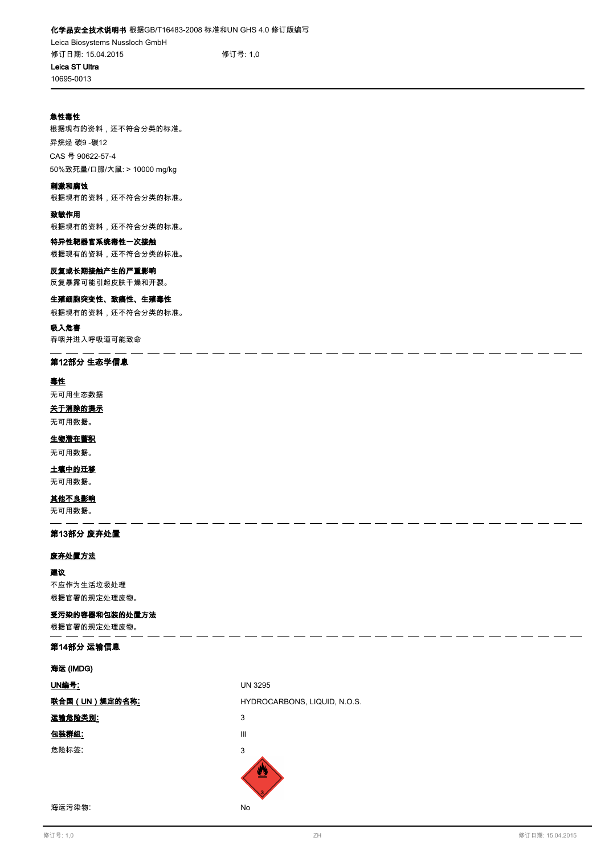# **化学品安全技术说明书 根据GB/T16483-2008 标准和UN GHS 4.0 修订版编写 Leica Biosystems Nussloch GmbH 修订日期: 15.04.2015 修订号: 1,0 Leica ST Ultra**

**10695-0013**

# **急性毒性**

**根据现有的资料,还不符合分类的标准。 异烷烃 碳9 -碳12 CAS 号 90622-57-4 50%致死量/口服/大鼠: > 10000 mg/kg**

#### **刺激和腐蚀**

**根据现有的资料,还不符合分类的标准。**

# **致敏作用**

**根据现有的资料,还不符合分类的标准。**

# **特异性靶器官系统毒性一次接触**

**根据现有的资料,还不符合分类的标准。**

# **反复或长期接触产生的严重影响**

**反复暴露可能引起皮肤干燥和开裂。**

# **生殖细胞突变性、致癌性、生殖毒性**

**根据现有的资料,还不符合分类的标准。**

# **吸入危害**

**吞咽并进入呼吸道可能致命**

# **第12部分 生态学信息**

#### **毒性**

**无可用生态数据**

# **关于消除的提示**

**无可用数据。**

# **生物潜在蓄积**

**无可用数据。**

# **土壤中的迁移**

**无可用数据。**

# **其他不良影响**

**无可用数据。**

# **第13部分 废弃处置**

# **废弃处置方法**

**建议 不应作为生活垃圾处理 根据官署的规定处理废物。**

# **受污染的容器和包装的处置方法**

**根据官署的规定处理废物。**

# **第14部分 运输信息**

| 海运 (IMDG)            |                              |
|----------------------|------------------------------|
| UN编号:                | <b>UN 3295</b>               |
| <u>联合国(UN)规定的名称:</u> | HYDROCARBONS, LIQUID, N.O.S. |
| 运输危险类别:              | 3                            |
| 包装群组:                | Ш                            |
| 危险标签:                | 3                            |
|                      | 3                            |

**海运污染物**: **No**

 $=$   $=$  $=$   $=$  $=$   $=$ 

ц.  $\overline{\phantom{a}}$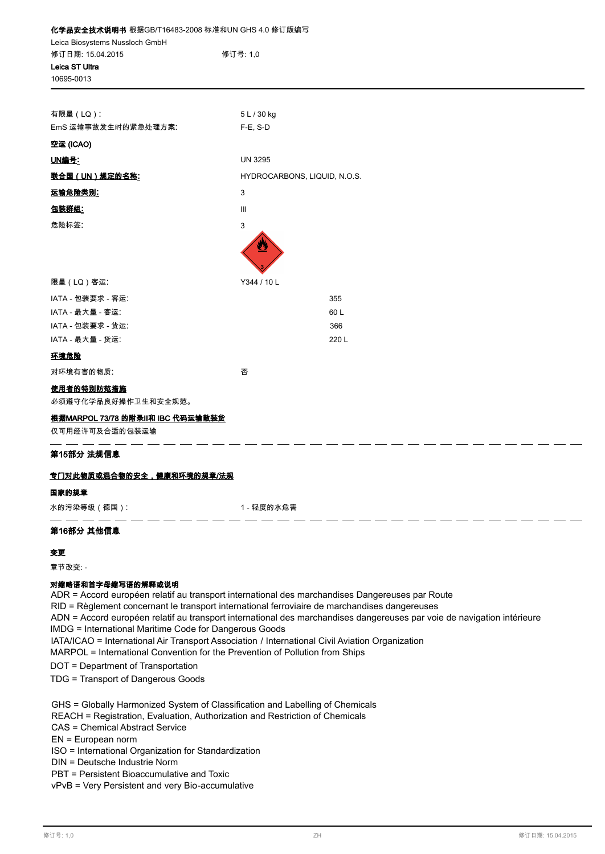| 化学品安全技术说明书 根据GB/T16483-2008 标准和UN GHS 4.0 修订版编写 |                                    |  |  |  |
|-------------------------------------------------|------------------------------------|--|--|--|
| Leica Biosystems Nussloch GmbH                  |                                    |  |  |  |
| 修订日期: 15.04.2015<br>Leica ST Ultra              | 修订号: 1.0                           |  |  |  |
| 10695-0013                                      |                                    |  |  |  |
|                                                 |                                    |  |  |  |
| 有限量 (LQ):                                       | 5 L / 30 kg                        |  |  |  |
| EmS 运输事故发生时的紧急处理方案:                             | F-E, S-D                           |  |  |  |
| 空运 (ICAO)                                       |                                    |  |  |  |
| UN编号:                                           | <b>UN 3295</b>                     |  |  |  |
| <u>联合国(UN)规定的名称:</u>                            | HYDROCARBONS, LIQUID, N.O.S.       |  |  |  |
| <u>运输危险类别:</u>                                  | 3                                  |  |  |  |
| 包装群组:                                           | $\ensuremath{\mathsf{III}}\xspace$ |  |  |  |
| 危险标签:                                           | 3                                  |  |  |  |
|                                                 |                                    |  |  |  |
| 限量(LQ)客运:                                       | Y344 / 10 L                        |  |  |  |
| IATA - 包装要求 - 客运:                               | 355                                |  |  |  |
| IATA - 最大量 - 客运:                                | 60 L                               |  |  |  |
| IATA - 包装要求 - 货运:                               | 366                                |  |  |  |
| IATA - 最大量 - 货运:                                | 220 L                              |  |  |  |
| 环境危险                                            |                                    |  |  |  |
| 对环境有害的物质:                                       | 否                                  |  |  |  |
| 使用者的特别防范措施                                      |                                    |  |  |  |
| 必须遵守化学品良好操作卫生和安全规范。                             |                                    |  |  |  |
| 根据MARPOL 73/78 的附录II和 IBC 代码运输散装货               |                                    |  |  |  |
| 仅可用经许可及合适的包装运输                                  |                                    |  |  |  |
| 第15部分 法规信息                                      |                                    |  |  |  |

# **专门对此物质或混合物的安全,健康和环境的规章/法规**

# **国家的规章**

**水的污染等级(德国)**: **1 - 轻度的水危害**

- - - -

# **第16部分 其他信息**

# **变更**

**章节改变: -**

# **对缩略语和首字母缩写语的解释或说明**

ADR = Accord européen relatif au transport international des marchandises Dangereuses par Route

RID = Règlement concernant le transport international ferroviaire de marchandises dangereuses

ADN = Accord européen relatif au transport international des marchandises dangereuses par voie de navigation intérieure

IMDG = International Maritime Code for Dangerous Goods

IATA/ICAO = International Air Transport Association / International Civil Aviation Organization

MARPOL = International Convention for the Prevention of Pollution from Ships

DOT = Department of Transportation

TDG = Transport of Dangerous Goods

GHS = Globally Harmonized System of Classification and Labelling of Chemicals

REACH = Registration, Evaluation, Authorization and Restriction of Chemicals

CAS = Chemical Abstract Service

EN = European norm

- ISO = International Organization for Standardization
- DIN = Deutsche Industrie Norm

PBT = Persistent Bioaccumulative and Toxic

vPvB = Very Persistent and very Bio-accumulative